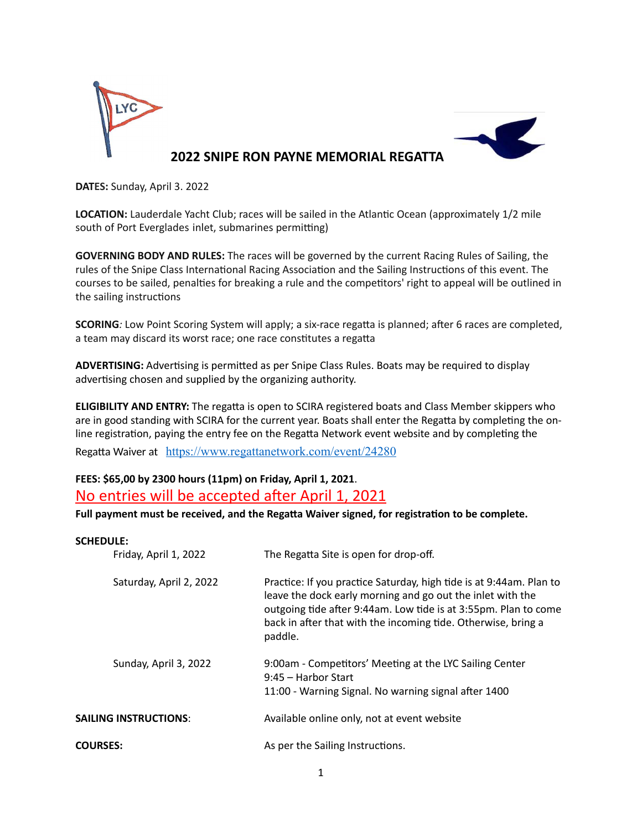

**DATES:** Sunday, April 3. 2022

**LOCATION:** Lauderdale Yacht Club; races will be sailed in the Atlantic Ocean (approximately 1/2 mile south of Port Everglades inlet, submarines permitting)

**GOVERNING BODY AND RULES:** The races will be governed by the current Racing Rules of Sailing, the rules of the Snipe Class International Racing Association and the Sailing Instructions of this event. The courses to be sailed, penalties for breaking a rule and the competitors' right to appeal will be outlined in the sailing instructions

**SCORING***:* Low Point Scoring System will apply; a six-race regatta is planned; after 6 races are completed, a team may discard its worst race; one race constitutes a regatta

ADVERTISING: Advertising is permitted as per Snipe Class Rules. Boats may be required to display advertising chosen and supplied by the organizing authority.

**ELIGIBILITY AND ENTRY:** The regatta is open to SCIRA registered boats and Class Member skippers who are in good standing with SCIRA for the current year. Boats shall enter the Regatta by completing the online registration, paying the entry fee on the Regatta Network event website and by completing the

Regatta Waiver at <https://www.regattanetwork.com/event/24280>

## **FEES: \$65,00 by 2300 hours (11pm) on Friday, April 1, 2021**. No entries will be accepted after April 1, 2021

Full payment must be received, and the Regatta Waiver signed, for registration to be complete.

### **SCHEDULE:**

| Friday, April 1, 2022        | The Regatta Site is open for drop-off.                                                                                                                                                                                                                                           |
|------------------------------|----------------------------------------------------------------------------------------------------------------------------------------------------------------------------------------------------------------------------------------------------------------------------------|
| Saturday, April 2, 2022      | Practice: If you practice Saturday, high tide is at 9:44am. Plan to<br>leave the dock early morning and go out the inlet with the<br>outgoing tide after 9:44am. Low tide is at 3:55pm. Plan to come<br>back in after that with the incoming tide. Otherwise, bring a<br>paddle. |
| Sunday, April 3, 2022        | 9:00am - Competitors' Meeting at the LYC Sailing Center<br>9:45 - Harbor Start<br>11:00 - Warning Signal. No warning signal after 1400                                                                                                                                           |
| <b>SAILING INSTRUCTIONS:</b> | Available online only, not at event website                                                                                                                                                                                                                                      |
| <b>COURSES:</b>              | As per the Sailing Instructions.                                                                                                                                                                                                                                                 |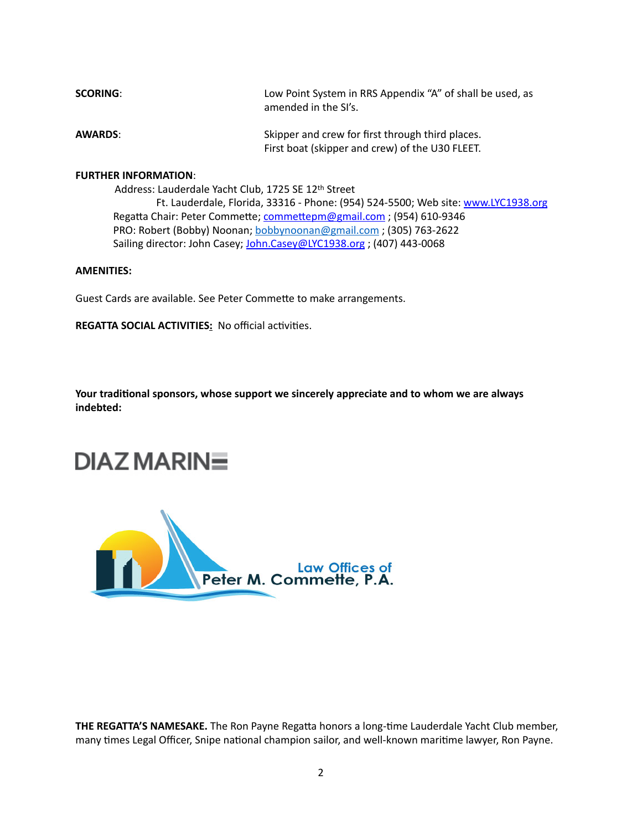| <b>SCORING:</b> | Low Point System in RRS Appendix "A" of shall be used, as<br>amended in the SI's.                   |
|-----------------|-----------------------------------------------------------------------------------------------------|
| <b>AWARDS:</b>  | Skipper and crew for first through third places.<br>First boat (skipper and crew) of the U30 FLEET. |

#### **FURTHER INFORMATION**:

Address: Lauderdale Yacht Club, 1725 SE 12th Street

 Ft. Lauderdale, Florida, 33316 - Phone: (954) 524-5500; Web site: [www.LYC1938.org](http://www.LYC1938.org) Regatta Chair: Peter Commette; commettepm@gmail.com ; (954) 610-9346 PRO: Robert (Bobby) Noonan; [bobbynoonan@gmail.com](mailto:bobbynoonan@gmail.com) ; (305) 763-2622 Sailing director: John Casey; [John.Casey@LYC1938.org](mailto:John.Casey@LYC1938.org) ; (407) 443-0068

#### **AMENITIES:**

Guest Cards are available. See Peter Commette to make arrangements.

**REGATTA SOCIAL ACTIVITIES: No official activities.** 

Your traditional sponsors, whose support we sincerely appreciate and to whom we are always **indebted:** 

# **DIAZ MARINE**



THE REGATTA'S NAMESAKE. The Ron Payne Regatta honors a long-time Lauderdale Yacht Club member, many times Legal Officer, Snipe national champion sailor, and well-known maritime lawyer, Ron Payne.